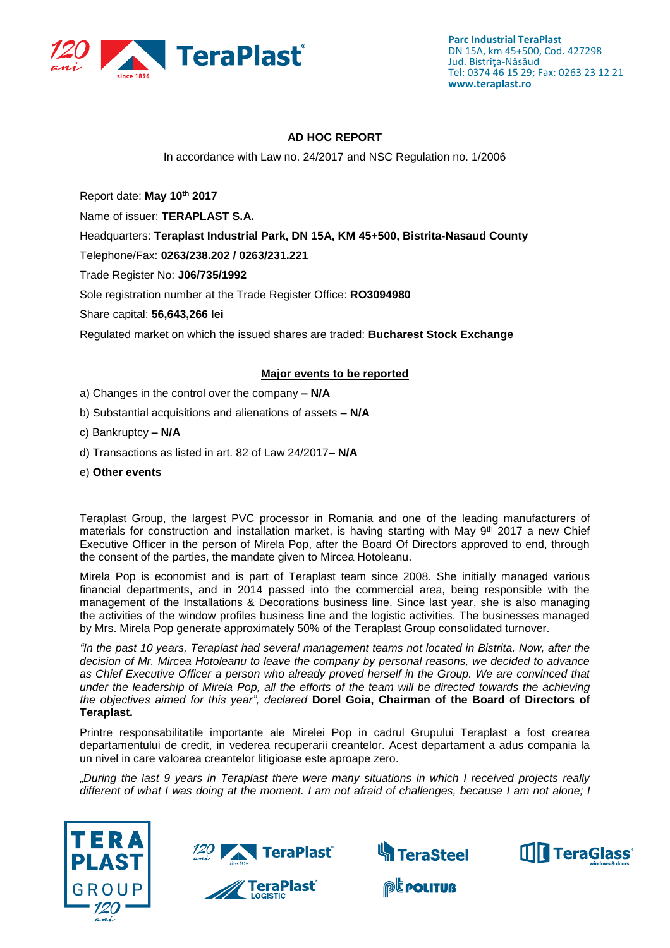

# **AD HOC REPORT**

In accordance with Law no. 24/2017 and NSC Regulation no. 1/2006

Report date: **May 10th 2017**

Name of issuer: **TERAPLAST S.A.** 

Headquarters: **Teraplast Industrial Park, DN 15A, KM 45+500, Bistrita-Nasaud County**

Telephone/Fax: **0263/238.202 / 0263/231.221**

Trade Register No: **J06/735/1992**

Sole registration number at the Trade Register Office: **RO3094980**

Share capital: **56,643,266 lei** 

Regulated market on which the issued shares are traded: **Bucharest Stock Exchange**

# **Major events to be reported**

- a) Changes in the control over the company **– N/A**
- b) Substantial acquisitions and alienations of assets **– N/A**
- c) Bankruptcy **– N/A**
- d) Transactions as listed in art. 82 of Law 24/2017**– N/A**
- e) **Other events**

Teraplast Group, the largest PVC processor in Romania and one of the leading manufacturers of materials for construction and installation market, is having starting with May 9<sup>th</sup> 2017 a new Chief Executive Officer in the person of Mirela Pop, after the Board Of Directors approved to end, through the consent of the parties, the mandate given to Mircea Hotoleanu.

Mirela Pop is economist and is part of Teraplast team since 2008. She initially managed various financial departments, and in 2014 passed into the commercial area, being responsible with the management of the Installations & Decorations business line. Since last year, she is also managing the activities of the window profiles business line and the logistic activities. The businesses managed by Mrs. Mirela Pop generate approximately 50% of the Teraplast Group consolidated turnover.

*"In the past 10 years, Teraplast had several management teams not located in Bistrita. Now, after the decision of Mr. Mircea Hotoleanu to leave the company by personal reasons, we decided to advance as Chief Executive Officer a person who already proved herself in the Group. We are convinced that under the leadership of Mirela Pop, all the efforts of the team will be directed towards the achieving the objectives aimed for this year", declared* **Dorel Goia, Chairman of the Board of Directors of Teraplast.** 

Printre responsabilitatile importante ale Mirelei Pop in cadrul Grupului Teraplast a fost crearea departamentului de credit, in vederea recuperarii creantelor. Acest departament a adus compania la un nivel in care valoarea creantelor litigioase este aproape zero.

"*During the last 9 years in Teraplast there were many situations in which I received projects really different of what I was doing at the moment. I am not afraid of challenges, because I am not alone; I* 











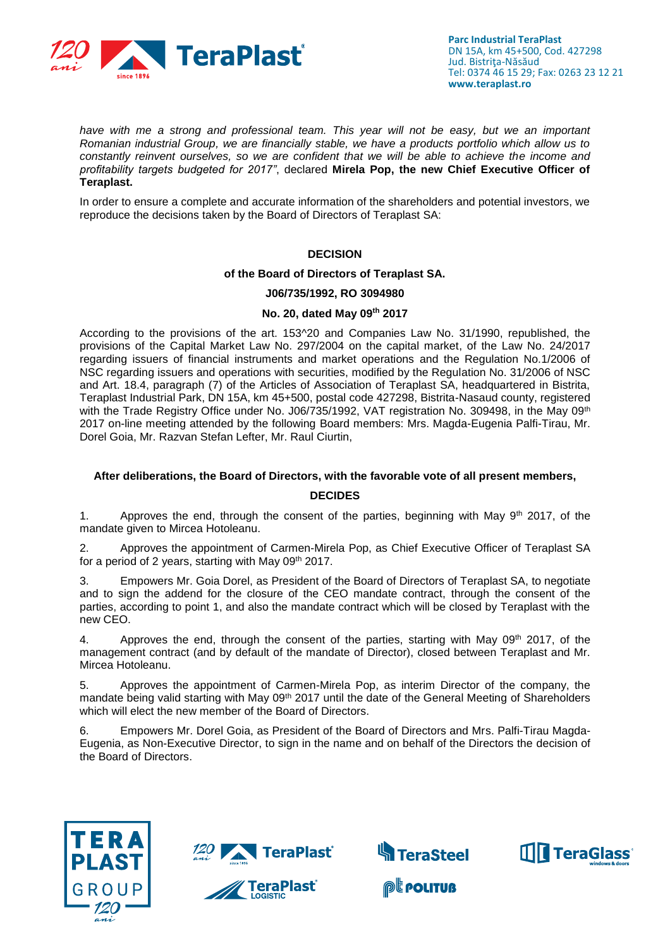

*have with me a strong and professional team. This year will not be easy, but we an important Romanian industrial Group, we are financially stable, we have a products portfolio which allow us to constantly reinvent ourselves, so we are confident that we will be able to achieve the income and profitability targets budgeted for 2017"*, declared **Mirela Pop, the new Chief Executive Officer of Teraplast.**

In order to ensure a complete and accurate information of the shareholders and potential investors, we reproduce the decisions taken by the Board of Directors of Teraplast SA:

### **DECISION**

#### **of the Board of Directors of Teraplast SA.**

## **J06/735/1992, RO 3094980**

## **No. 20, dated May 09th 2017**

According to the provisions of the art. 153^20 and Companies Law No. 31/1990, republished, the provisions of the Capital Market Law No. 297/2004 on the capital market, of the Law No. 24/2017 regarding issuers of financial instruments and market operations and the Regulation No.1/2006 of NSC regarding issuers and operations with securities, modified by the Regulation No. 31/2006 of NSC and Art. 18.4, paragraph (7) of the Articles of Association of Teraplast SA, headquartered in Bistrita, Teraplast Industrial Park, DN 15A, km 45+500, postal code 427298, Bistrita-Nasaud county, registered with the Trade Registry Office under No. J06/735/1992, VAT registration No. 309498, in the May 09th 2017 on-line meeting attended by the following Board members: Mrs. Magda-Eugenia Palfi-Tirau, Mr. Dorel Goia, Mr. Razvan Stefan Lefter, Mr. Raul Ciurtin,

# **After deliberations, the Board of Directors, with the favorable vote of all present members, DECIDES**

1. Approves the end, through the consent of the parties, beginning with May  $9<sup>th</sup>$  2017, of the mandate given to Mircea Hotoleanu.

2. Approves the appointment of Carmen-Mirela Pop, as Chief Executive Officer of Teraplast SA for a period of 2 years, starting with May 09th 2017.

3. Empowers Mr. Goia Dorel, as President of the Board of Directors of Teraplast SA, to negotiate and to sign the addend for the closure of the CEO mandate contract, through the consent of the parties, according to point 1, and also the mandate contract which will be closed by Teraplast with the new CEO.

4. Approves the end, through the consent of the parties, starting with May 09<sup>th</sup> 2017, of the management contract (and by default of the mandate of Director), closed between Teraplast and Mr. Mircea Hotoleanu.

5. Approves the appointment of Carmen-Mirela Pop, as interim Director of the company, the mandate being valid starting with May 09<sup>th</sup> 2017 until the date of the General Meeting of Shareholders which will elect the new member of the Board of Directors.

6. Empowers Mr. Dorel Goia, as President of the Board of Directors and Mrs. Palfi-Tirau Magda-Eugenia, as Non-Executive Director, to sign in the name and on behalf of the Directors the decision of the Board of Directors.





**TeraPlast** 



**@Leouture**